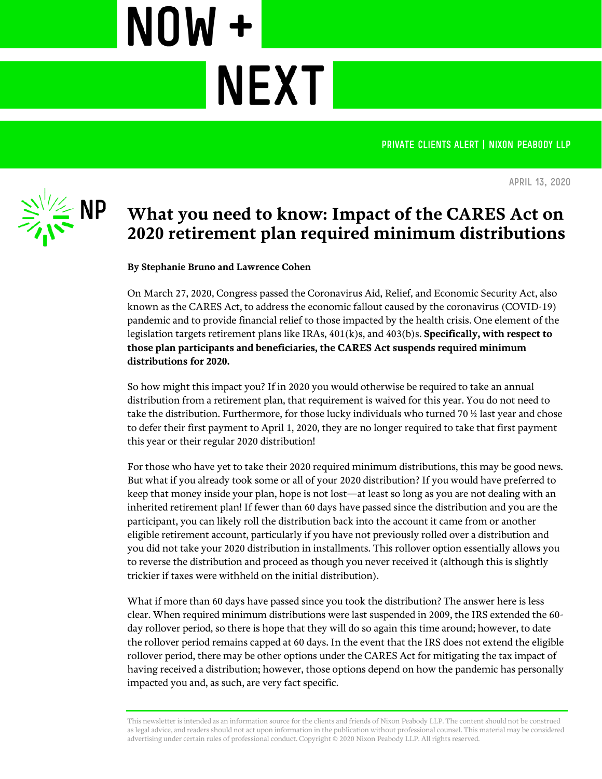PRIVATE CLIENTS ALERT | NIXON PEABODY LLP



**April 13, 2020**

## **What you need to know: Impact of the CARES Act on 2020 retirement plan required minimum distributions**

**By Stephanie Bruno and Lawrence Cohen**

**NEXT** 

NOW +

On March 27, 2020, Congress passed the Coronavirus Aid, Relief, and Economic Security Act, also known as the CARES Act, to address the economic fallout caused by the coronavirus (COVID-19) pandemic and to provide financial relief to those impacted by the health crisis. One element of the legislation targets retirement plans like IRAs, 401(k)s, and 403(b)s. **Specifically, with respect to those plan participants and beneficiaries, the CARES Act suspends required minimum distributions for 2020.**

So how might this impact you? If in 2020 you would otherwise be required to take an annual distribution from a retirement plan, that requirement is waived for this year. You do not need to take the distribution. Furthermore, for those lucky individuals who turned 70  $\frac{1}{2}$  last year and chose to defer their first payment to April 1, 2020, they are no longer required to take that first payment this year or their regular 2020 distribution!

For those who have yet to take their 2020 required minimum distributions, this may be good news. But what if you already took some or all of your 2020 distribution? If you would have preferred to keep that money inside your plan, hope is not lost—at least so long as you are not dealing with an inherited retirement plan! If fewer than 60 days have passed since the distribution and you are the participant, you can likely roll the distribution back into the account it came from or another eligible retirement account, particularly if you have not previously rolled over a distribution and you did not take your 2020 distribution in installments. This rollover option essentially allows you to reverse the distribution and proceed as though you never received it (although this is slightly trickier if taxes were withheld on the initial distribution).

What if more than 60 days have passed since you took the distribution? The answer here is less clear. When required minimum distributions were last suspended in 2009, the IRS extended the 60 day rollover period, so there is hope that they will do so again this time around; however, to date the rollover period remains capped at 60 days. In the event that the IRS does not extend the eligible rollover period, there may be other options under the CARES Act for mitigating the tax impact of having received a distribution; however, those options depend on how the pandemic has personally impacted you and, as such, are very fact specific.

This newsletter is intended as an information source for the clients and friends of Nixon Peabody LLP. The content should not be construed as legal advice, and readers should not act upon information in the publication without professional counsel. This material may be considered advertising under certain rules of professional conduct. Copyright © 2020 Nixon Peabody LLP. All rights reserved.